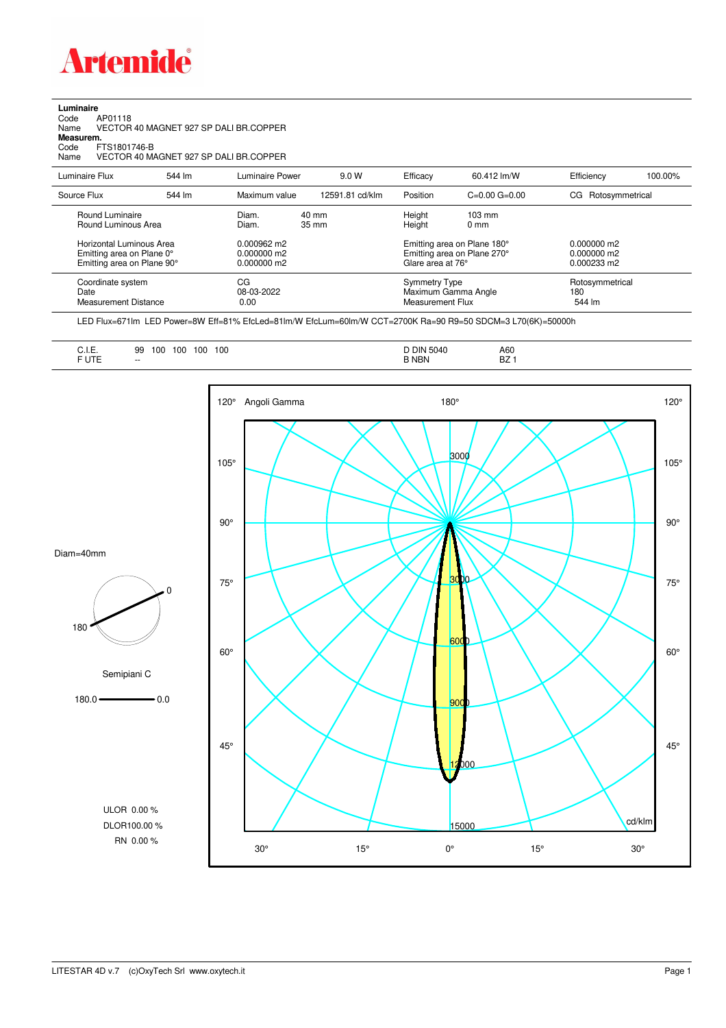

**Luminaire**<br>Code /<br>Name \ Code AP01118 Name VECTOR 40 MAGNET 927 SP DALI BR.COPPER

**Measurem.**

Code FTS1801746-B Name VECTOR 40 MAGNET 927 SP DALI BR.COPPER

| Luminaire Flux                                                                                                                | 544 lm | Luminaire Power                                                           | 9.0 W                              | Efficacy | 60.412 lm/W                                                                                                                               | Efficiency            | 100.00%                          |  |
|-------------------------------------------------------------------------------------------------------------------------------|--------|---------------------------------------------------------------------------|------------------------------------|----------|-------------------------------------------------------------------------------------------------------------------------------------------|-----------------------|----------------------------------|--|
| Source Flux                                                                                                                   | 544 lm | Maximum value                                                             | 12591.81 cd/klm                    | Position | $C=0.00$ $G=0.00$                                                                                                                         | Rotosymmetrical<br>CG |                                  |  |
| Round Luminaire<br>Round Luminous Area<br>Horizontal Luminous Area<br>Emitting area on Plane 0°<br>Emitting area on Plane 90° |        | Diam.<br>Diam.<br>$0.000962 \text{ m2}$<br>$0.000000$ m2<br>$0.000000$ m2 | $40 \text{ mm}$<br>$35 \text{ mm}$ |          | Height<br>$103 \text{ mm}$<br>Height<br>$0 \text{ mm}$<br>Emitting area on Plane 180°<br>Emitting area on Plane 270°<br>Glare area at 76° |                       |                                  |  |
| Coordinate system<br>Date<br><b>Measurement Distance</b>                                                                      |        | CG<br>08-03-2022<br>0.00                                                  |                                    |          | Symmetry Type<br>Maximum Gamma Angle<br>Measurement Flux                                                                                  |                       | Rotosymmetrical<br>180<br>544 lm |  |

LED Flux=671lm LED Power=8W Eff=81% EfcLed=81lm/W EfcLum=60lm/W CCT=2700K Ra=90 R9=50 SDCM=3 L70(6K)=50000h